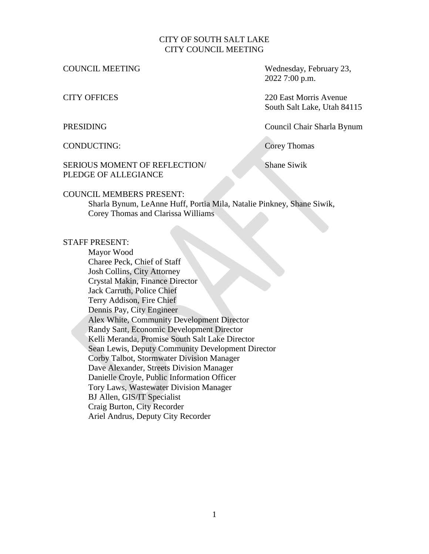### CITY OF SOUTH SALT LAKE CITY COUNCIL MEETING

COUNCIL MEETING Wednesday, February 23, 2022 7:00 p.m.

CITY OFFICES 220 East Morris Avenue South Salt Lake, Utah 84115

PRESIDING Council Chair Sharla Bynum

CONDUCTING: Corey Thomas

## SERIOUS MOMENT OF REFLECTION/ Shane Siwik PLEDGE OF ALLEGIANCE

#### COUNCIL MEMBERS PRESENT:

Sharla Bynum, LeAnne Huff, Portia Mila, Natalie Pinkney, Shane Siwik, Corey Thomas and Clarissa Williams

### STAFF PRESENT:

Mayor Wood Charee Peck, Chief of Staff Josh Collins, City Attorney Crystal Makin, Finance Director Jack Carruth, Police Chief Terry Addison, Fire Chief Dennis Pay, City Engineer Alex White, Community Development Director Randy Sant, Economic Development Director Kelli Meranda, Promise South Salt Lake Director Sean Lewis, Deputy Community Development Director Corby Talbot, Stormwater Division Manager Dave Alexander, Streets Division Manager Danielle Croyle, Public Information Officer Tory Laws, Wastewater Division Manager BJ Allen, GIS/IT Specialist Craig Burton, City Recorder Ariel Andrus, Deputy City Recorder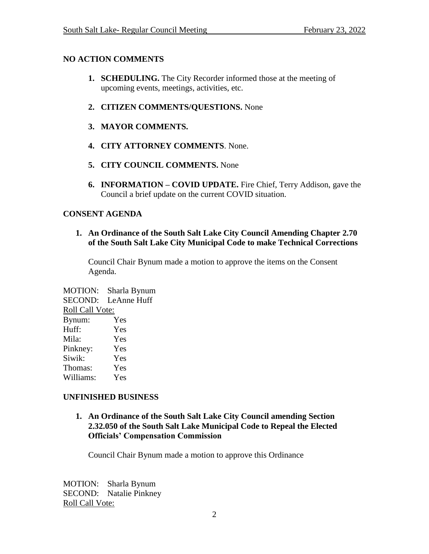# **NO ACTION COMMENTS**

- **1. SCHEDULING.** The City Recorder informed those at the meeting of upcoming events, meetings, activities, etc.
- **2. CITIZEN COMMENTS/QUESTIONS.** None
- **3. MAYOR COMMENTS.**
- **4. CITY ATTORNEY COMMENTS**. None.
- **5. CITY COUNCIL COMMENTS.** None
- **6. INFORMATION – COVID UPDATE.** Fire Chief, Terry Addison, gave the Council a brief update on the current COVID situation.

## **CONSENT AGENDA**

**1. An Ordinance of the South Salt Lake City Council Amending Chapter 2.70 of the South Salt Lake City Municipal Code to make Technical Corrections**

Council Chair Bynum made a motion to approve the items on the Consent Agenda.

MOTION: Sharla Bynum SECOND: LeAnne Huff Roll Call Vote: Bynum: Yes Huff: Yes Mila: Yes Pinkney: Yes Siwik: Yes Thomas: Yes Williams: Yes

## **UNFINISHED BUSINESS**

**1. An Ordinance of the South Salt Lake City Council amending Section 2.32.050 of the South Salt Lake Municipal Code to Repeal the Elected Officials' Compensation Commission** 

Council Chair Bynum made a motion to approve this Ordinance

MOTION: Sharla Bynum SECOND: Natalie Pinkney Roll Call Vote: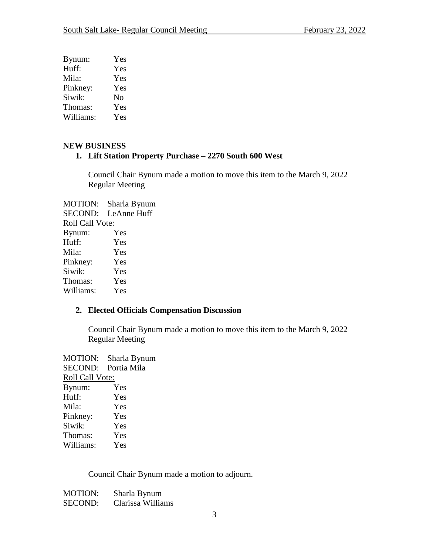| Bynum:    | Yes |
|-----------|-----|
| Huff:     | Yes |
| Mila:     | Yes |
| Pinkney:  | Yes |
| Siwik:    | No  |
| Thomas:   | Yes |
| Williams: | Yes |

## **NEW BUSINESS**

## **1. Lift Station Property Purchase – 2270 South 600 West**

Council Chair Bynum made a motion to move this item to the March 9, 2022 Regular Meeting

MOTION: Sharla Bynum SECOND: LeAnne Huff Roll Call Vote: Bynum: Yes Huff: Yes Mila: Yes Pinkney: Yes Siwik: Yes Thomas: Yes Williams: Yes

### **2. Elected Officials Compensation Discussion**

Council Chair Bynum made a motion to move this item to the March 9, 2022 Regular Meeting

MOTION: Sharla Bynum SECOND: Portia Mila Roll Call Vote: Bynum: Yes Huff: Yes Mila: Yes Pinkney: Yes Siwik: Yes Thomas: Yes Williams: Yes

Council Chair Bynum made a motion to adjourn.

MOTION: Sharla Bynum SECOND: Clarissa Williams